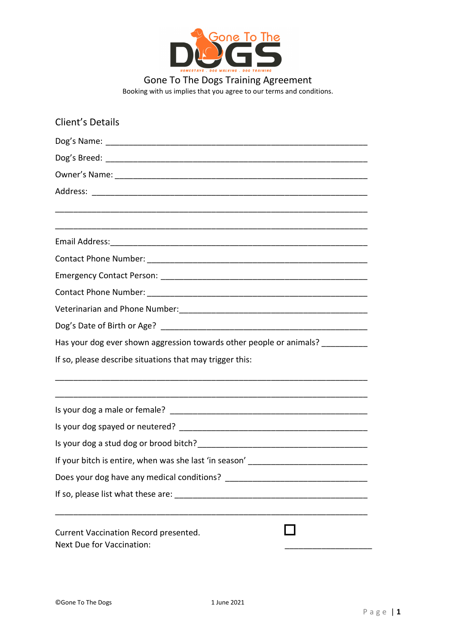

Gone To The Dogs Training Agreement Booking with us implies that you agree to our terms and conditions.

| Client's Details                                                   |  |  |  |  |  |  |                                                                                 |
|--------------------------------------------------------------------|--|--|--|--|--|--|---------------------------------------------------------------------------------|
|                                                                    |  |  |  |  |  |  |                                                                                 |
|                                                                    |  |  |  |  |  |  |                                                                                 |
|                                                                    |  |  |  |  |  |  |                                                                                 |
|                                                                    |  |  |  |  |  |  |                                                                                 |
|                                                                    |  |  |  |  |  |  |                                                                                 |
|                                                                    |  |  |  |  |  |  |                                                                                 |
|                                                                    |  |  |  |  |  |  |                                                                                 |
|                                                                    |  |  |  |  |  |  |                                                                                 |
|                                                                    |  |  |  |  |  |  | Has your dog ever shown aggression towards other people or animals? ___________ |
|                                                                    |  |  |  |  |  |  | If so, please describe situations that may trigger this:                        |
|                                                                    |  |  |  |  |  |  |                                                                                 |
|                                                                    |  |  |  |  |  |  |                                                                                 |
|                                                                    |  |  |  |  |  |  |                                                                                 |
| If your bitch is entire, when was she last 'in season' ______      |  |  |  |  |  |  |                                                                                 |
|                                                                    |  |  |  |  |  |  |                                                                                 |
|                                                                    |  |  |  |  |  |  |                                                                                 |
| Current Vaccination Record presented.<br>Next Due for Vaccination: |  |  |  |  |  |  |                                                                                 |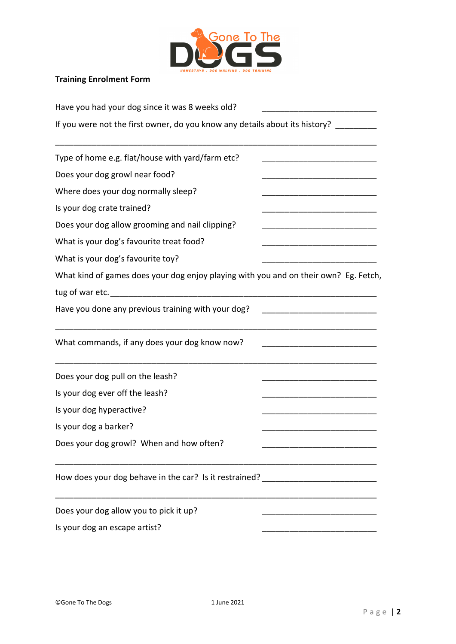

## Training Enrolment Form

| Have you had your dog since it was 8 weeks old?                                      |  |  |  |  |  |  |
|--------------------------------------------------------------------------------------|--|--|--|--|--|--|
| If you were not the first owner, do you know any details about its history?          |  |  |  |  |  |  |
| Type of home e.g. flat/house with yard/farm etc?                                     |  |  |  |  |  |  |
| Does your dog growl near food?                                                       |  |  |  |  |  |  |
| Where does your dog normally sleep?                                                  |  |  |  |  |  |  |
| Is your dog crate trained?                                                           |  |  |  |  |  |  |
| Does your dog allow grooming and nail clipping?                                      |  |  |  |  |  |  |
| What is your dog's favourite treat food?                                             |  |  |  |  |  |  |
| What is your dog's favourite toy?                                                    |  |  |  |  |  |  |
| What kind of games does your dog enjoy playing with you and on their own? Eg. Fetch, |  |  |  |  |  |  |
|                                                                                      |  |  |  |  |  |  |
| Have you done any previous training with your dog?                                   |  |  |  |  |  |  |
| What commands, if any does your dog know now?                                        |  |  |  |  |  |  |
| Does your dog pull on the leash?                                                     |  |  |  |  |  |  |
| Is your dog ever off the leash?                                                      |  |  |  |  |  |  |
| Is your dog hyperactive?                                                             |  |  |  |  |  |  |
| Is your dog a barker?                                                                |  |  |  |  |  |  |
| Does your dog growl? When and how often?                                             |  |  |  |  |  |  |
| How does your dog behave in the car? Is it restrained? _________________________     |  |  |  |  |  |  |
| Does your dog allow you to pick it up?                                               |  |  |  |  |  |  |
| Is your dog an escape artist?                                                        |  |  |  |  |  |  |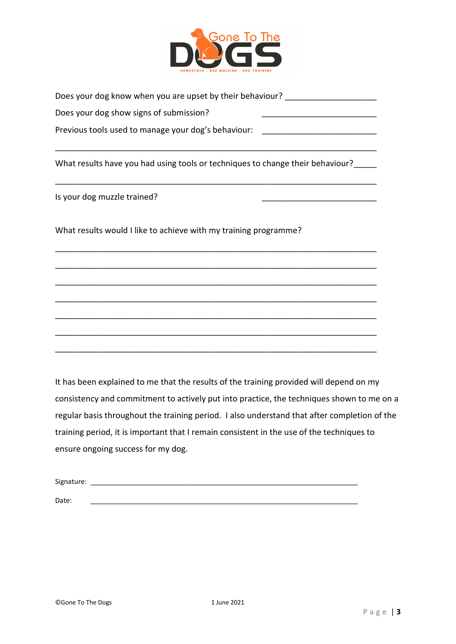

| Does your dog know when you are upset by their behaviour? |  |
|-----------------------------------------------------------|--|
| Does your dog show signs of submission?                   |  |
| Previous tools used to manage your dog's behaviour:       |  |

\_\_\_\_\_\_\_\_\_\_\_\_\_\_\_\_\_\_\_\_\_\_\_\_\_\_\_\_\_\_\_\_\_\_\_\_\_\_\_\_\_\_\_\_\_\_\_\_\_\_\_\_\_\_\_\_\_\_\_\_\_\_\_\_\_\_\_\_\_\_

\_\_\_\_\_\_\_\_\_\_\_\_\_\_\_\_\_\_\_\_\_\_\_\_\_\_\_\_\_\_\_\_\_\_\_\_\_\_\_\_\_\_\_\_\_\_\_\_\_\_\_\_\_\_\_\_\_\_\_\_\_\_\_\_\_\_\_\_\_\_

\_\_\_\_\_\_\_\_\_\_\_\_\_\_\_\_\_\_\_\_\_\_\_\_\_\_\_\_\_\_\_\_\_\_\_\_\_\_\_\_\_\_\_\_\_\_\_\_\_\_\_\_\_\_\_\_\_\_\_\_\_\_\_\_\_\_\_\_\_\_

\_\_\_\_\_\_\_\_\_\_\_\_\_\_\_\_\_\_\_\_\_\_\_\_\_\_\_\_\_\_\_\_\_\_\_\_\_\_\_\_\_\_\_\_\_\_\_\_\_\_\_\_\_\_\_\_\_\_\_\_\_\_\_\_\_\_\_\_\_\_

\_\_\_\_\_\_\_\_\_\_\_\_\_\_\_\_\_\_\_\_\_\_\_\_\_\_\_\_\_\_\_\_\_\_\_\_\_\_\_\_\_\_\_\_\_\_\_\_\_\_\_\_\_\_\_\_\_\_\_\_\_\_\_\_\_\_\_\_\_\_

\_\_\_\_\_\_\_\_\_\_\_\_\_\_\_\_\_\_\_\_\_\_\_\_\_\_\_\_\_\_\_\_\_\_\_\_\_\_\_\_\_\_\_\_\_\_\_\_\_\_\_\_\_\_\_\_\_\_\_\_\_\_\_\_\_\_\_\_\_\_

\_\_\_\_\_\_\_\_\_\_\_\_\_\_\_\_\_\_\_\_\_\_\_\_\_\_\_\_\_\_\_\_\_\_\_\_\_\_\_\_\_\_\_\_\_\_\_\_\_\_\_\_\_\_\_\_\_\_\_\_\_\_\_\_\_\_\_\_\_\_

\_\_\_\_\_\_\_\_\_\_\_\_\_\_\_\_\_\_\_\_\_\_\_\_\_\_\_\_\_\_\_\_\_\_\_\_\_\_\_\_\_\_\_\_\_\_\_\_\_\_\_\_\_\_\_\_\_\_\_\_\_\_\_\_\_\_\_\_\_\_

\_\_\_\_\_\_\_\_\_\_\_\_\_\_\_\_\_\_\_\_\_\_\_\_\_\_\_\_\_\_\_\_\_\_\_\_\_\_\_\_\_\_\_\_\_\_\_\_\_\_\_\_\_\_\_\_\_\_\_\_\_\_\_\_\_\_\_\_\_\_

What results have you had using tools or techniques to change their behaviour?

Is your dog muzzle trained?

What results would I like to achieve with my training programme?

It has been explained to me that the results of the training provided will depend on my consistency and commitment to actively put into practice, the techniques shown to me on a regular basis throughout the training period. I also understand that after completion of the training period, it is important that I remain consistent in the use of the techniques to ensure ongoing success for my dog.

| Signature: |  |  |  |
|------------|--|--|--|
|            |  |  |  |
| Date:      |  |  |  |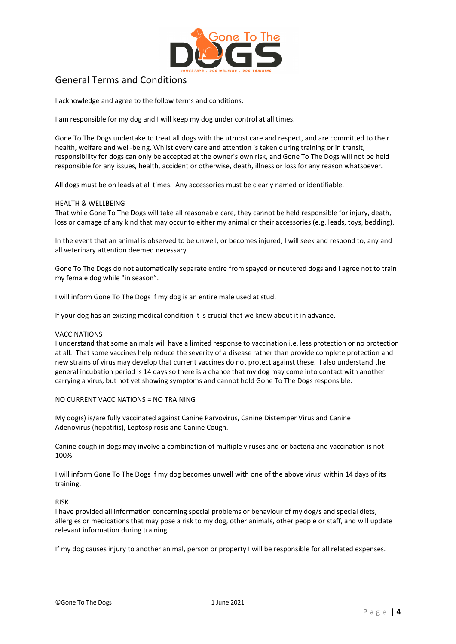

# General Terms and Conditions

I acknowledge and agree to the follow terms and conditions:

I am responsible for my dog and I will keep my dog under control at all times.

Gone To The Dogs undertake to treat all dogs with the utmost care and respect, and are committed to their health, welfare and well-being. Whilst every care and attention is taken during training or in transit, responsibility for dogs can only be accepted at the owner's own risk, and Gone To The Dogs will not be held responsible for any issues, health, accident or otherwise, death, illness or loss for any reason whatsoever.

All dogs must be on leads at all times. Any accessories must be clearly named or identifiable.

## HEALTH & WELLBEING

That while Gone To The Dogs will take all reasonable care, they cannot be held responsible for injury, death, loss or damage of any kind that may occur to either my animal or their accessories (e.g. leads, toys, bedding).

In the event that an animal is observed to be unwell, or becomes injured, I will seek and respond to, any and all veterinary attention deemed necessary.

Gone To The Dogs do not automatically separate entire from spayed or neutered dogs and I agree not to train my female dog while "in season".

I will inform Gone To The Dogs if my dog is an entire male used at stud.

If your dog has an existing medical condition it is crucial that we know about it in advance.

## VACCINATIONS

I understand that some animals will have a limited response to vaccination i.e. less protection or no protection at all. That some vaccines help reduce the severity of a disease rather than provide complete protection and new strains of virus may develop that current vaccines do not protect against these. I also understand the general incubation period is 14 days so there is a chance that my dog may come into contact with another carrying a virus, but not yet showing symptoms and cannot hold Gone To The Dogs responsible.

NO CURRENT VACCINATIONS = NO TRAINING

My dog(s) is/are fully vaccinated against Canine Parvovirus, Canine Distemper Virus and Canine Adenovirus (hepatitis), Leptospirosis and Canine Cough.

Canine cough in dogs may involve a combination of multiple viruses and or bacteria and vaccination is not 100%.

I will inform Gone To The Dogs if my dog becomes unwell with one of the above virus' within 14 days of its training.

RISK

I have provided all information concerning special problems or behaviour of my dog/s and special diets, allergies or medications that may pose a risk to my dog, other animals, other people or staff, and will update relevant information during training.

If my dog causes injury to another animal, person or property I will be responsible for all related expenses.